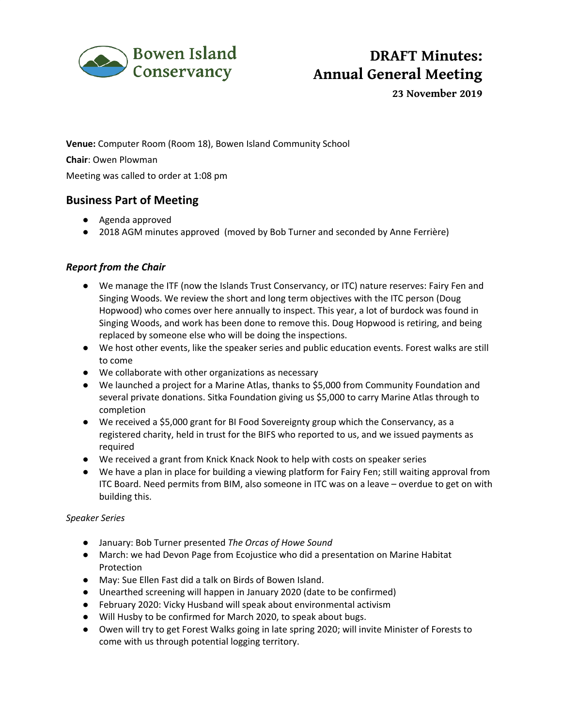

# **DRAFT Minutes: Annual General Meeting**

**23 November 2019**

**Venue:** Computer Room (Room 18), Bowen Island Community School **Chair**: Owen Plowman Meeting was called to order at 1:08 pm

## **Business Part of Meeting**

- Agenda approved
- 2018 AGM minutes approved (moved by Bob Turner and seconded by Anne Ferrière)

## *Report from the Chair*

- We manage the ITF (now the Islands Trust Conservancy, or ITC) nature reserves: Fairy Fen and Singing Woods. We review the short and long term objectives with the ITC person (Doug Hopwood) who comes over here annually to inspect. This year, a lot of burdock was found in Singing Woods, and work has been done to remove this. Doug Hopwood is retiring, and being replaced by someone else who will be doing the inspections.
- We host other events, like the speaker series and public education events. Forest walks are still to come
- We collaborate with other organizations as necessary
- We launched a project for a Marine Atlas, thanks to \$5,000 from Community Foundation and several private donations. Sitka Foundation giving us \$5,000 to carry Marine Atlas through to completion
- We received a \$5,000 grant for BI Food Sovereignty group which the Conservancy, as a registered charity, held in trust for the BIFS who reported to us, and we issued payments as required
- We received a grant from Knick Knack Nook to help with costs on speaker series
- We have a plan in place for building a viewing platform for Fairy Fen; still waiting approval from ITC Board. Need permits from BIM, also someone in ITC was on a leave – overdue to get on with building this.

### *Speaker Series*

- January: Bob Turner presented *The Orcas of Howe Sound*
- March: we had Devon Page from Ecojustice who did a presentation on Marine Habitat Protection
- May: Sue Ellen Fast did a talk on Birds of Bowen Island.
- Unearthed screening will happen in January 2020 (date to be confirmed)
- February 2020: Vicky Husband will speak about environmental activism
- Will Husby to be confirmed for March 2020, to speak about bugs.
- Owen will try to get Forest Walks going in late spring 2020; will invite Minister of Forests to come with us through potential logging territory.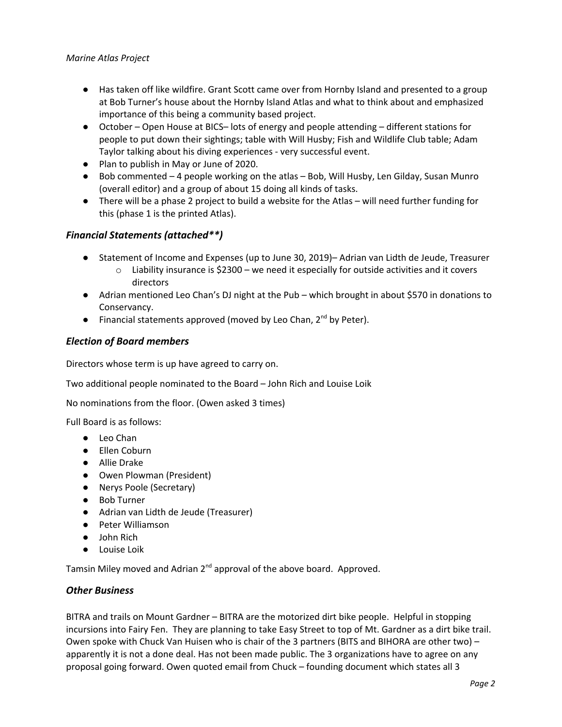- Has taken off like wildfire. Grant Scott came over from Hornby Island and presented to a group at Bob Turner's house about the Hornby Island Atlas and what to think about and emphasized importance of this being a community based project.
- October Open House at BICS– lots of energy and people attending different stations for people to put down their sightings; table with Will Husby; Fish and Wildlife Club table; Adam Taylor talking about his diving experiences - very successful event.
- Plan to publish in May or June of 2020.
- Bob commented 4 people working on the atlas Bob, Will Husby, Len Gilday, Susan Munro (overall editor) and a group of about 15 doing all kinds of tasks.
- There will be a phase 2 project to build a website for the Atlas will need further funding for this (phase 1 is the printed Atlas).

### *Financial Statements (attached\*\*)*

- Statement of Income and Expenses (up to June 30, 2019)– Adrian van Lidth de Jeude, Treasurer
	- $\circ$  Liability insurance is \$2300 we need it especially for outside activities and it covers directors
- Adrian mentioned Leo Chan's DJ night at the Pub which brought in about \$570 in donations to Conservancy.
- $\bullet$  Financial statements approved (moved by Leo Chan, 2<sup>nd</sup> by Peter).

### *Election of Board members*

Directors whose term is up have agreed to carry on.

Two additional people nominated to the Board – John Rich and Louise Loik

No nominations from the floor. (Owen asked 3 times)

Full Board is as follows:

- Leo Chan
- Ellen Coburn
- Allie Drake
- Owen Plowman (President)
- Nerys Poole (Secretary)
- Bob Turner
- Adrian van Lidth de Jeude (Treasurer)
- Peter Williamson
- John Rich
- Louise Loik

Tamsin Miley moved and Adrian 2<sup>nd</sup> approval of the above board. Approved.

#### *Other Business*

BITRA and trails on Mount Gardner – BITRA are the motorized dirt bike people. Helpful in stopping incursions into Fairy Fen. They are planning to take Easy Street to top of Mt. Gardner as a dirt bike trail. Owen spoke with Chuck Van Huisen who is chair of the 3 partners (BITS and BIHORA are other two) – apparently it is not a done deal. Has not been made public. The 3 organizations have to agree on any proposal going forward. Owen quoted email from Chuck – founding document which states all 3